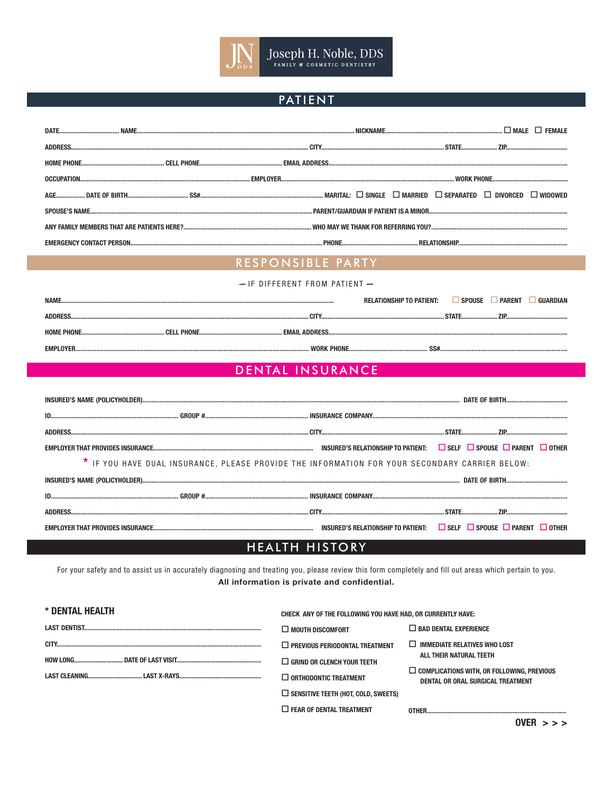

## **PATIENT**

## RESPONSIBLE PARTY

| - IF DIFFERENT FROM PATIENT- |                                 |                                             |
|------------------------------|---------------------------------|---------------------------------------------|
| NAMF                         | <b>RELATIONSHIP TO PATIENT:</b> | $\Box$ Spouse<br><b>PARENT</b><br>GIIARDIAN |
| ADDRESS                      |                                 |                                             |
|                              |                                 |                                             |
| EMPLOYER.                    |                                 |                                             |

## DENTAL INSURANCE

| * IF YOU HAVE DUAL INSURANCE, PLEASE PROVIDE THE INFORMATION FOR YOUR SECONDARY CARRIER BELOW: |  |  |
|------------------------------------------------------------------------------------------------|--|--|
|                                                                                                |  |  |
|                                                                                                |  |  |
|                                                                                                |  |  |
|                                                                                                |  |  |

## HEALTH HISTORY

For your safety and to assist us in accurately diagnosing and treating you, please review this form completely and fill out areas which pertain to you. All information is private and confidential.

| * DENTAL HEALTH | CHECK ANY OF THE FOLLOWING YOU HAVE HAD, OR CURRENTLY HAVE: |                                                                                        |
|-----------------|-------------------------------------------------------------|----------------------------------------------------------------------------------------|
|                 | $\Box$ MOUTH DISCOMFORT                                     | $\Box$ BAD DENTAL EXPERIENCE                                                           |
|                 | $\Box$ PREVIOUS PERIODONTAL TREATMENT                       | $\Box$ IMMEDIATE RELATIVES WHO LOST                                                    |
|                 | $\Box$ GRIND OR CLENCH YOUR TEETH                           | ALL THEIR NATURAL TEETH                                                                |
|                 | $\Box$ orthodontic treatment                                | $\Box$ complications with. Or following. Previous<br>DENTAL OR ORAL SURGICAL TREATMENT |
|                 | $\Box$ SENSITIVE TEETH (HOT, COLD, SWEETS)                  |                                                                                        |
|                 | $\Box$ FEAR OF DENTAL TREATMENT                             |                                                                                        |